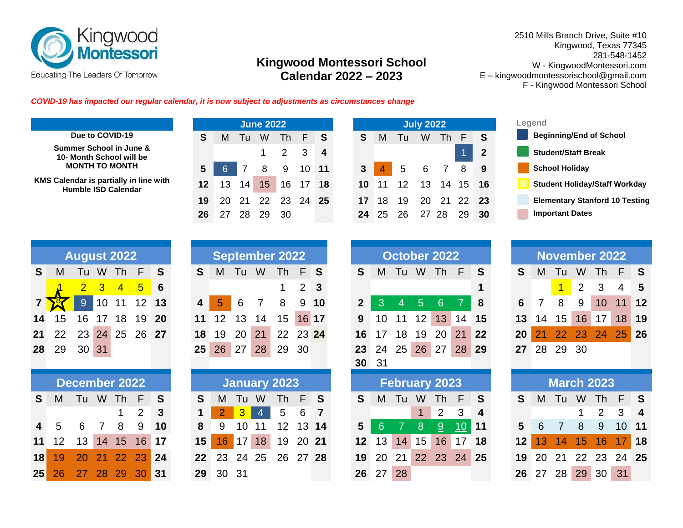

## **Kingwood Montessori School Calendar 2022 – 2023**

2510 Mills Branch Drive, Suite #10 Kingwood, Texas 77345 281-548-1452 W - KingwoodMontessori.com E – kingwoodmontessorischool@gmail.com F - Kingwood Montessori School

*COVID-19 has impacted our regular calendar, it is now subject to adjustments as circumstances change*

| Due to COVID-19                        |
|----------------------------------------|
| Summer School in June &                |
| 10- Month School will be               |
| <b>MONTH TO MONTH</b>                  |
| (MS Calendar is nartially in line with |

|                                                                      |         |     |                 | <b>June 2022</b> |    |    |                  |    |    |    | July 20 |
|----------------------------------------------------------------------|---------|-----|-----------------|------------------|----|----|------------------|----|----|----|---------|
| Due to COVID-19                                                      | S       | м   | l u             | W                | Th | F  | ⊟ S              | S  | M  | Tu | W       |
| Summer School in June &<br>10- Month School will be                  |         |     |                 |                  | 2  | -3 | $\boldsymbol{4}$ |    |    |    |         |
| <b>MONTH TO MONTH</b>                                                | 5       |     |                 | 8                | 9  | 10 | -11              | 3  |    | 5  | 6       |
| KMS Calendar is partially in line with<br><b>Humble ISD Calendar</b> | $12 \,$ | 13  | 14 <sub>1</sub> | 15 <sub>o</sub>  | 16 | 17 | 18               | 10 | 11 | 12 | 13      |
|                                                                      | 19      | 20. | -21             | 22 23 24         |    |    | - 25             |    | 18 | 19 | 20      |
|                                                                      | 26      |     |                 |                  | 30 |    |                  | 24 |    |    |         |





|    |                   | <b>August 2022</b>                                |           |   |
|----|-------------------|---------------------------------------------------|-----------|---|
| S  | М                 |                                                   | Tu W Th F | S |
|    |                   | $\begin{array}{cccccc} 2 & 3 & 4 & 5 \end{array}$ |           | 6 |
|    |                   | 9 10 11 12 13                                     |           |   |
| 14 |                   | 15 16 17 18 19 20                                 |           |   |
| 21 | 22 23 24 25 26 27 |                                                   |           |   |
|    | 28 29 30 31       |                                                   |           |   |

|                            | December 2022 |  |                     |  |  |  | January 2023         |  |  |                        | February 2023 |  |                   |  | <b>March 2023</b> |  |  |
|----------------------------|---------------|--|---------------------|--|--|--|----------------------|--|--|------------------------|---------------|--|-------------------|--|-------------------|--|--|
| S M Tu W Th F S            |               |  |                     |  |  |  | S M Tu W Th F S      |  |  | S M Tu W Th F S        |               |  |                   |  | S M Tu W Th F     |  |  |
|                            |               |  | $1 \quad 2 \quad 3$ |  |  |  | 1 2 3 4 5 6 7        |  |  | 1 2 3 4                |               |  |                   |  | 123               |  |  |
| 4 5 6 7 8 9 10             |               |  |                     |  |  |  | 8 9 10 11 12 13 14   |  |  | 5 6 7 8 <u>9 10</u> 11 |               |  |                   |  | 5 6 7 8 9 10      |  |  |
| 11 12 13 14 15 16 17       |               |  |                     |  |  |  | 15 16 17 18 19 20 21 |  |  | 12 13 14 15 16 17 18   |               |  |                   |  | 12 13 14 15 16 17 |  |  |
| 18  19  20  21  22  23  24 |               |  |                     |  |  |  | 22 23 24 25 26 27 28 |  |  | 19 20 21 22 23 24 25   |               |  |                   |  | 19 20 21 22 23 24 |  |  |
| 25 26 27 28 29 30 31       |               |  |                     |  |  |  |                      |  |  |                        |               |  | 29 30 31 26 27 28 |  | 26 27 28 29 30 31 |  |  |

|                |       | <b>August 2022</b> |                |                |                 |    |                         |                 |                 |                | <b>September 2022</b> |             |              |                 |    |    | October 2022         |                 |          |          |    |    |                 |                | November 2022     |         |                  |
|----------------|-------|--------------------|----------------|----------------|-----------------|----|-------------------------|-----------------|-----------------|----------------|-----------------------|-------------|--------------|-----------------|----|----|----------------------|-----------------|----------|----------|----|----|-----------------|----------------|-------------------|---------|------------------|
| S.             | M     | Tu                 | W              | Th             | $\mathsf{F}$    | S  | S.                      | M               | Tu              | W              | <b>Th</b>             | F S         |              | S               | M  | Tu | W                    | Th F            |          | S        | S  | M  | Tu              | W              | Th                | F       | <b>S</b>         |
|                |       | $\overline{2}$     | $\overline{3}$ | $\overline{4}$ | $5\overline{)}$ | 6  |                         |                 |                 |                |                       | $2 \quad 3$ |              |                 |    |    |                      |                 |          |          |    |    | $\overline{1}$  | $\overline{2}$ | 3                 | 4       | $-5$             |
|                |       | $\overline{9}$     | 10             | 11             | 12 <sup>°</sup> | 13 | $\overline{\mathbf{4}}$ | 5               | 6               |                | 8                     | 9           | 10           | $\mathbf{2}$    | 3  |    | $\overline{5}$       | 6               |          | 8        | 6  |    | 8               | 9              | 10                | 11      | 12               |
| $\overline{4}$ | 15    | 16                 | 17             | 18             | 19              | 20 | 11                      | 12 <sup>2</sup> | 13              | 14             | 15 <sub>1</sub>       | 16 17       |              | 9               | 10 | 11 | 12                   | 13              | 14       | 15       | 13 | 14 | 15 <sub>1</sub> | 16             | 17                | 18      | 19               |
| 21             | 22    |                    |                |                | 23 24 25 26 27  |    | 18                      | 19              | 20              | 21             | 22 23 24              |             |              | 16              | 17 | 18 | 19                   | 20 <sup>1</sup> | 21       | 22       | 20 |    | 22 23 24        |                |                   | $25$ 26 |                  |
|                | 28 29 |                    | 30 31          |                |                 |    | 25 <sub>1</sub>         |                 | 26 27           | 28             | 29                    | 30          |              | 23              | 24 |    | 25 26 27             |                 | 28 29    |          | 27 |    | 28 29 30        |                |                   |         |                  |
|                |       |                    |                |                |                 |    |                         |                 |                 |                |                       |             |              | 30 31           |    |    |                      |                 |          |          |    |    |                 |                |                   |         |                  |
|                |       | December 2022      |                |                |                 |    |                         |                 |                 |                | <b>January 2023</b>   |             |              |                 |    |    | <b>February 2023</b> |                 |          |          |    |    |                 |                | <b>March 2023</b> |         |                  |
| S              | M     |                    |                |                |                 |    |                         |                 |                 |                |                       |             |              |                 |    |    |                      |                 |          |          |    |    |                 |                |                   |         |                  |
|                |       |                    | Tu W           | Th F           |                 | S  | S.                      | M               | Tu              | W              | Th                    | F           | <sub>S</sub> | S.              | M  | Tu | W                    | Th F            |          | <b>S</b> | S  | M  | Tu              | W              | Th                | E       | <b>S</b>         |
|                |       |                    |                |                | 2               | 3  |                         |                 | 3               | $\overline{4}$ | 5                     | 6           |              |                 |    |    |                      | 2               | 3        | 4        |    |    |                 |                | $\overline{2}$    | 3       | $\boldsymbol{4}$ |
| 4              | 5     | 6                  |                | 8              | 9               | 10 | 8                       | 9               | 10 <sup>1</sup> | 11             | 12                    |             | 13 14        | 5               | 6  |    | 8                    | 9               | 10       | 11       | 5  | 6  | 7               | 8              | 9                 | 10 11   |                  |
| $\mathbf 1$    | 12    | 13 <sup>°</sup>    | 14             | 15             | 16              | 17 | 15 <sub>1</sub>         | 16              | ' 17 ⊾          | 18             | 19                    | 20 21       |              | 12 <sub>2</sub> | 13 | 14 | 15                   |                 | 16 17    | 18       | 12 | 13 | 14              | 15             | 16                |         | 18               |
| 8              | 19    | 20                 | 21             | <b>22</b>      | 23              | 24 | 22 <sub>2</sub>         | 23              | 24 25           |                | 26 27 28              |             |              | 19              | 20 | 21 | 22                   |                 | 23 24 25 |          | 19 | 20 | 21              | <b>22</b>      | 23                | 24 25   |                  |

|                |       | <b>August 2022</b>   |                |                |            |                 |                         |    |    |                          | <b>September 2022</b> |                |                 |                 |    |                 |                | October 2022         |                |          |    |    | <b>November 2022</b> |             |     |                 |              |
|----------------|-------|----------------------|----------------|----------------|------------|-----------------|-------------------------|----|----|--------------------------|-----------------------|----------------|-----------------|-----------------|----|-----------------|----------------|----------------------|----------------|----------|----|----|----------------------|-------------|-----|-----------------|--------------|
| $\mathbf{s}$   | M     | Tu                   | W              | Th             | F          | S               | S                       | M  | Tu | W                        | <b>Th</b>             | F <sub>S</sub> |                 | <b>S</b>        | M  | Tu              | W              | <b>Th</b>            | F              | S        | S  | M  | Tu                   | W           | Th. | F               | $\mathsf{S}$ |
|                |       | 2 <sup>1</sup>       | 3 <sup>°</sup> | $\overline{4}$ | $\sqrt{5}$ | $6\phantom{1}6$ |                         |    |    |                          |                       |                | $2 \quad 3$     |                 |    |                 |                |                      |                |          |    |    | $\overline{1}$       | $2^{\circ}$ | 3   | 4               | $5^{\circ}$  |
| 7 <sup>1</sup> |       | 9                    | 10             | 11             | 12         | 13              | $\overline{\mathbf{4}}$ | 5  | 6  |                          | 8                     |                | 9 <sub>10</sub> |                 | 3  | $4^{\circ}$     | 5 <sup>5</sup> | 6                    | $\overline{7}$ | -8       | 6  |    | 8                    | 9           | 10  | 11              | 12           |
| 14             | 15    | 16                   | 17             | 18             | 19         | <b>20</b>       | 11                      | 12 | 13 | 14                       | 15                    |                | 16 17           | 9               | 10 | 11              | 12             | 13                   | 14             | 15       | 13 | 14 | 15 <sub>1</sub>      | 16          | 17  | 18              | 19           |
|                | 21 22 | 23                   |                | 24 25 26 27    |            |                 | 18                      | 19 | 20 | 21                       | 22 23 24              |                |                 | 16              | 17 | 18              | 19             | 20                   | 21             | 22       | 20 |    | 22 <sup>°</sup>      | 23          | 24  | 25 <sup>1</sup> | 26           |
|                | 28 29 | 30 31                |                |                |            |                 | 25                      | 26 | 27 | 28                       | 29                    | 30             |                 | 23 <sub>2</sub> | 24 | 25 <sup>2</sup> |                | 26 27                |                | 28 29    | 27 | 28 | 29 30                |             |     |                 |              |
|                |       |                      |                |                |            |                 |                         |    |    |                          |                       |                |                 | 30 31           |    |                 |                |                      |                |          |    |    |                      |             |     |                 |              |
|                |       | <b>December 2022</b> |                |                |            |                 |                         |    |    |                          | January 2023          |                |                 |                 |    |                 |                | <b>February 2023</b> |                |          |    |    | <b>March 2023</b>    |             |     |                 |              |
| S.             | M     | Tul                  | W              | Th F           |            | S               | S                       | M  | Tu | W                        | <b>Th</b>             | $\P$ F $>$     | -S              | <sub>S</sub>    | M  | Tu              | W              | Th .                 | F              | <b>S</b> | S  | M  | Tu                   | W           | Th. | F               | <b>S</b>     |
|                |       |                      |                |                |            |                 |                         |    |    | <b>Contract Contract</b> |                       |                |                 |                 |    |                 |                | $\sim$ $\sim$ $\sim$ |                |          |    |    |                      |             |     |                 |              |

|    |          | <b>November 2022</b> |                      |          |
|----|----------|----------------------|----------------------|----------|
| S  |          | M Tu W Th F          |                      | <b>S</b> |
|    |          |                      | <mark>1</mark> 2 3 4 | - 5      |
| 6. | <b>7</b> |                      | 8 9 10 11 12         |          |
|    |          | 13 14 15 16 17 18 19 |                      |          |
|    |          | 20 21 22 23 24 25 26 |                      |          |
|    |          | 27 28 29 30          |                      |          |

|    | <b>March 2023</b>    |                     |                         |
|----|----------------------|---------------------|-------------------------|
| S. | M Tu W Th F          |                     | <b>S</b>                |
|    |                      | $1 \quad 2 \quad 3$ | $\overline{\mathbf{4}}$ |
|    | 5 6 7 8 9 10 11      |                     |                         |
|    | 12 13 14 15 16 17 18 |                     |                         |
|    | 19 20 21 22 23 24 25 |                     |                         |
|    | 26 27 28 29 30 31    |                     |                         |